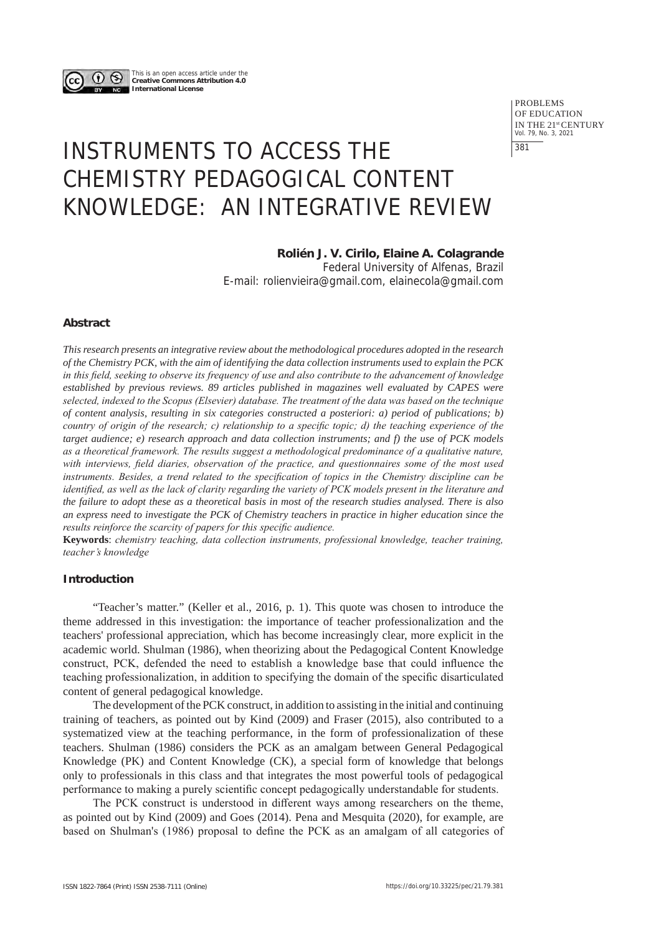

This is an open access article under the **Creative Commons Attribution 4.0 International License**

> PROBLEMS OF EDUCATION IN THE 21st CENTURY Vol. 79, No. 3, 2021 381

# INSTRUMENTS TO ACCESS THE CHEMISTRY PEDAGOGICAL CONTENT KNOWLEDGE: AN INTEGRATIVE REVIEW

# **Rolién J. V. Cirilo, Elaine A. Colagrande**

Federal University of Alfenas, Brazil E-mail: rolienvieira@gmail.com, elainecola@gmail.com

## **Abstract**

*This research presents an integrative review about the methodological procedures adopted in the research of the Chemistry PCK, with the aim of identifying the data collection instruments used to explain the PCK in this field, seeking to observe its frequency of use and also contribute to the advancement of knowledge established by previous reviews. 89 articles published in magazines well evaluated by CAPES were selected, indexed to the Scopus (Elsevier) database. The treatment of the data was based on the technique of content analysis, resulting in six categories constructed a posteriori: a) period of publications; b) country of origin of the research; c) relationship to a specific topic; d) the teaching experience of the target audience; e) research approach and data collection instruments; and f) the use of PCK models as a theoretical framework. The results suggest a methodological predominance of a qualitative nature, with interviews, field diaries, observation of the practice, and questionnaires some of the most used instruments. Besides, a trend related to the specification of topics in the Chemistry discipline can be identified, as well as the lack of clarity regarding the variety of PCK models present in the literature and the failure to adopt these as a theoretical basis in most of the research studies analysed. There is also an express need to investigate the PCK of Chemistry teachers in practice in higher education since the results reinforce the scarcity of papers for this specific audience.*

**Keywords**: *chemistry teaching, data collection instruments, professional knowledge, teacher training, teacher's knowledge*

## **Introduction**

"Teacher's matter." (Keller et al., 2016, p. 1). This quote was chosen to introduce the theme addressed in this investigation: the importance of teacher professionalization and the teachers' professional appreciation, which has become increasingly clear, more explicit in the academic world. Shulman (1986), when theorizing about the Pedagogical Content Knowledge construct, PCK, defended the need to establish a knowledge base that could influence the teaching professionalization, in addition to specifying the domain of the specific disarticulated content of general pedagogical knowledge.

The development of the PCK construct, in addition to assisting in the initial and continuing training of teachers, as pointed out by Kind (2009) and Fraser (2015), also contributed to a systematized view at the teaching performance, in the form of professionalization of these teachers. Shulman (1986) considers the PCK as an amalgam between General Pedagogical Knowledge (PK) and Content Knowledge (CK), a special form of knowledge that belongs only to professionals in this class and that integrates the most powerful tools of pedagogical performance to making a purely scientific concept pedagogically understandable for students.

The PCK construct is understood in different ways among researchers on the theme, as pointed out by Kind (2009) and Goes (2014). Pena and Mesquita (2020), for example, are based on Shulman's (1986) proposal to define the PCK as an amalgam of all categories of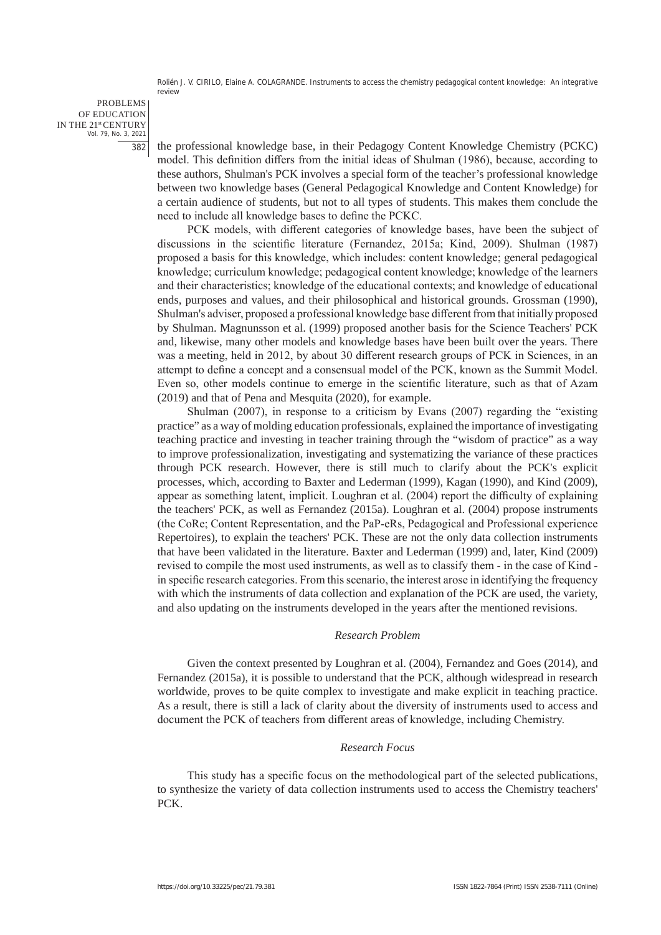PROBLEMS OF EDUCATION IN THE 21st CENTURY Vol. 79, No. 3, 2021 382

the professional knowledge base, in their Pedagogy Content Knowledge Chemistry (PCKC) model. This definition differs from the initial ideas of Shulman (1986), because, according to these authors, Shulman's PCK involves a special form of the teacher's professional knowledge between two knowledge bases (General Pedagogical Knowledge and Content Knowledge) for a certain audience of students, but not to all types of students. This makes them conclude the need to include all knowledge bases to define the PCKC.

PCK models, with different categories of knowledge bases, have been the subject of discussions in the scientific literature (Fernandez, 2015a; Kind, 2009). Shulman (1987) proposed a basis for this knowledge, which includes: content knowledge; general pedagogical knowledge; curriculum knowledge; pedagogical content knowledge; knowledge of the learners and their characteristics; knowledge of the educational contexts; and knowledge of educational ends, purposes and values, and their philosophical and historical grounds. Grossman (1990), Shulman's adviser, proposed a professional knowledge base different from that initially proposed by Shulman. Magnunsson et al. (1999) proposed another basis for the Science Teachers' PCK and, likewise, many other models and knowledge bases have been built over the years. There was a meeting, held in 2012, by about 30 different research groups of PCK in Sciences, in an attempt to define a concept and a consensual model of the PCK, known as the Summit Model. Even so, other models continue to emerge in the scientific literature, such as that of Azam (2019) and that of Pena and Mesquita (2020), for example.

Shulman (2007), in response to a criticism by Evans (2007) regarding the "existing practice" as a way of molding education professionals, explained the importance of investigating teaching practice and investing in teacher training through the "wisdom of practice" as a way to improve professionalization, investigating and systematizing the variance of these practices through PCK research. However, there is still much to clarify about the PCK's explicit processes, which, according to Baxter and Lederman (1999), Kagan (1990), and Kind (2009), appear as something latent, implicit. Loughran et al. (2004) report the difficulty of explaining the teachers' PCK, as well as Fernandez (2015a). Loughran et al. (2004) propose instruments (the CoRe; Content Representation, and the PaP-eRs, Pedagogical and Professional experience Repertoires), to explain the teachers' PCK. These are not the only data collection instruments that have been validated in the literature. Baxter and Lederman (1999) and, later, Kind (2009) revised to compile the most used instruments, as well as to classify them - in the case of Kind in specific research categories. From this scenario, the interest arose in identifying the frequency with which the instruments of data collection and explanation of the PCK are used, the variety, and also updating on the instruments developed in the years after the mentioned revisions.

#### *Research Problem*

Given the context presented by Loughran et al. (2004), Fernandez and Goes (2014), and Fernandez (2015a), it is possible to understand that the PCK, although widespread in research worldwide, proves to be quite complex to investigate and make explicit in teaching practice. As a result, there is still a lack of clarity about the diversity of instruments used to access and document the PCK of teachers from different areas of knowledge, including Chemistry.

## *Research Focus*

This study has a specific focus on the methodological part of the selected publications, to synthesize the variety of data collection instruments used to access the Chemistry teachers' PCK.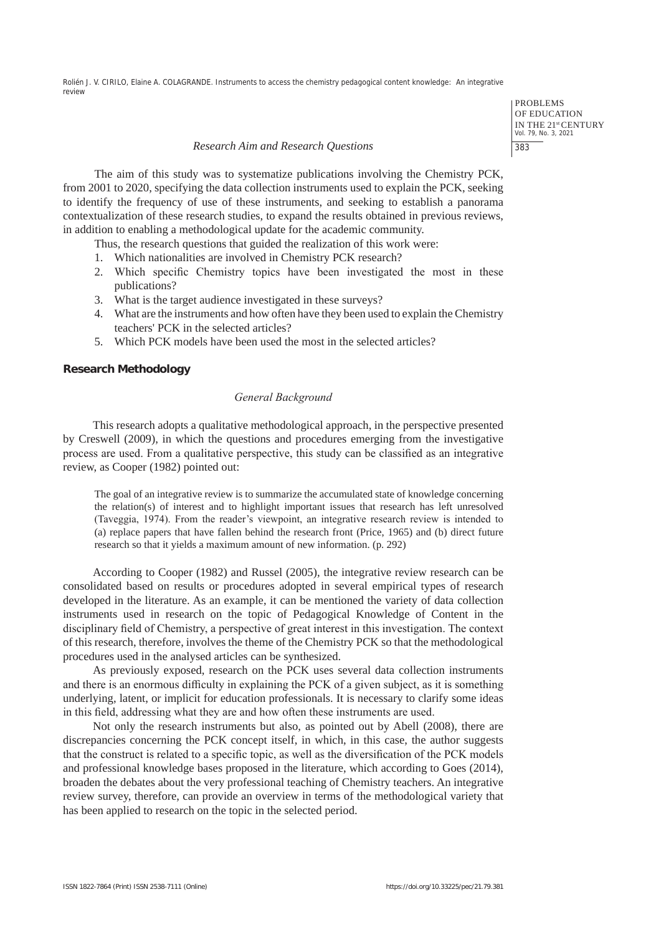PROBLEMS OF EDUCATION IN THE 21st CENTURY Vol. 79, No. 3, 2021 383

#### *Research Aim and Research Questions*

The aim of this study was to systematize publications involving the Chemistry PCK, from 2001 to 2020, specifying the data collection instruments used to explain the PCK, seeking to identify the frequency of use of these instruments, and seeking to establish a panorama contextualization of these research studies, to expand the results obtained in previous reviews, in addition to enabling a methodological update for the academic community.

Thus, the research questions that guided the realization of this work were:

- 1. Which nationalities are involved in Chemistry PCK research?
- 2. Which specific Chemistry topics have been investigated the most in these publications?
- 3. What is the target audience investigated in these surveys?
- 4. What are the instruments and how often have they been used to explain the Chemistry teachers' PCK in the selected articles?
- 5. Which PCK models have been used the most in the selected articles?

## **Research Methodology**

## *General Background*

This research adopts a qualitative methodological approach, in the perspective presented by Creswell (2009), in which the questions and procedures emerging from the investigative process are used. From a qualitative perspective, this study can be classified as an integrative review, as Cooper (1982) pointed out:

The goal of an integrative review is to summarize the accumulated state of knowledge concerning the relation(s) of interest and to highlight important issues that research has left unresolved (Taveggia, 1974). From the reader's viewpoint, an integrative research review is intended to (a) replace papers that have fallen behind the research front (Price, 1965) and (b) direct future research so that it yields a maximum amount of new information. (p. 292)

According to Cooper (1982) and Russel (2005), the integrative review research can be consolidated based on results or procedures adopted in several empirical types of research developed in the literature. As an example, it can be mentioned the variety of data collection instruments used in research on the topic of Pedagogical Knowledge of Content in the disciplinary field of Chemistry, a perspective of great interest in this investigation. The context of this research, therefore, involves the theme of the Chemistry PCK so that the methodological procedures used in the analysed articles can be synthesized.

As previously exposed, research on the PCK uses several data collection instruments and there is an enormous difficulty in explaining the PCK of a given subject, as it is something underlying, latent, or implicit for education professionals. It is necessary to clarify some ideas in this field, addressing what they are and how often these instruments are used.

Not only the research instruments but also, as pointed out by Abell (2008), there are discrepancies concerning the PCK concept itself, in which, in this case, the author suggests that the construct is related to a specific topic, as well as the diversification of the PCK models and professional knowledge bases proposed in the literature, which according to Goes (2014), broaden the debates about the very professional teaching of Chemistry teachers. An integrative review survey, therefore, can provide an overview in terms of the methodological variety that has been applied to research on the topic in the selected period.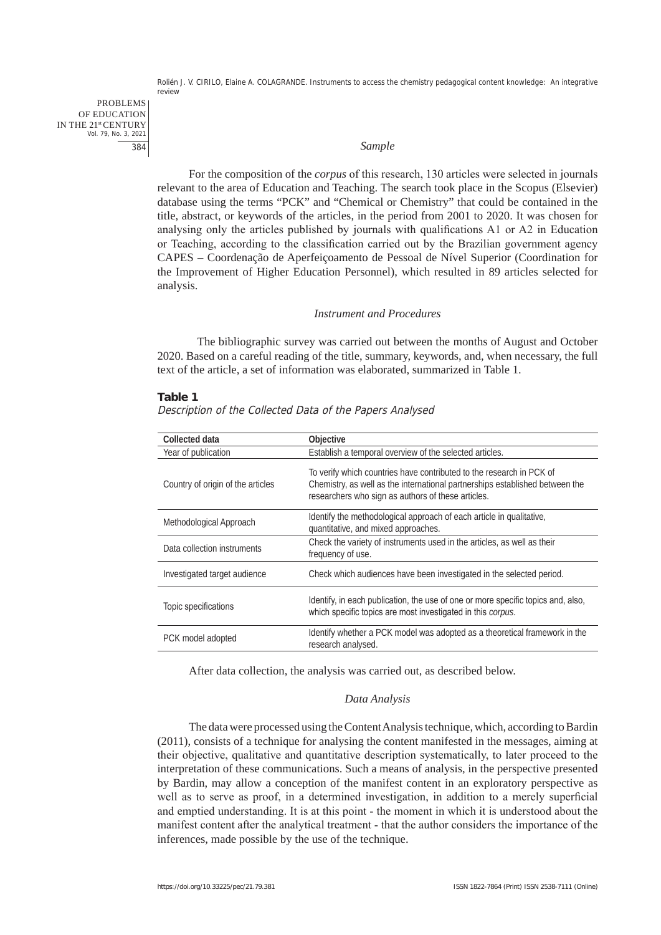PROBLEMS OF EDUCATION IN THE 21st CENTURY Vol. 79, No. 3, 2021 384

#### *Sample*

For the composition of the *corpus* of this research, 130 articles were selected in journals relevant to the area of Education and Teaching. The search took place in the Scopus (Elsevier) database using the terms "PCK" and "Chemical or Chemistry" that could be contained in the title, abstract, or keywords of the articles, in the period from 2001 to 2020. It was chosen for analysing only the articles published by journals with qualifications A1 or A2 in Education or Teaching, according to the classification carried out by the Brazilian government agency CAPES – Coordenação de Aperfeiçoamento de Pessoal de Nível Superior (Coordination for the Improvement of Higher Education Personnel), which resulted in 89 articles selected for analysis.

#### *Instrument and Procedures*

The bibliographic survey was carried out between the months of August and October 2020. Based on a careful reading of the title, summary, keywords, and, when necessary, the full text of the article, a set of information was elaborated, summarized in Table 1.

#### **Table 1**

Description of the Collected Data of the Papers Analysed

| Collected data                    | Objective                                                                                                                                                                                                  |
|-----------------------------------|------------------------------------------------------------------------------------------------------------------------------------------------------------------------------------------------------------|
| Year of publication               | Establish a temporal overview of the selected articles.                                                                                                                                                    |
| Country of origin of the articles | To verify which countries have contributed to the research in PCK of<br>Chemistry, as well as the international partnerships established between the<br>researchers who sign as authors of these articles. |
| Methodological Approach           | Identify the methodological approach of each article in qualitative,<br>quantitative, and mixed approaches.                                                                                                |
| Data collection instruments       | Check the variety of instruments used in the articles, as well as their<br>frequency of use.                                                                                                               |
| Investigated target audience      | Check which audiences have been investigated in the selected period.                                                                                                                                       |
| Topic specifications              | Identify, in each publication, the use of one or more specific topics and, also,<br>which specific topics are most investigated in this corpus.                                                            |
| PCK model adopted                 | Identify whether a PCK model was adopted as a theoretical framework in the<br>research analysed.                                                                                                           |

After data collection, the analysis was carried out, as described below.

## *Data Analysis*

The data were processed using the Content Analysis technique, which, according to Bardin (2011), consists of a technique for analysing the content manifested in the messages, aiming at their objective, qualitative and quantitative description systematically, to later proceed to the interpretation of these communications. Such a means of analysis, in the perspective presented by Bardin, may allow a conception of the manifest content in an exploratory perspective as well as to serve as proof, in a determined investigation, in addition to a merely superficial and emptied understanding. It is at this point - the moment in which it is understood about the manifest content after the analytical treatment - that the author considers the importance of the inferences, made possible by the use of the technique.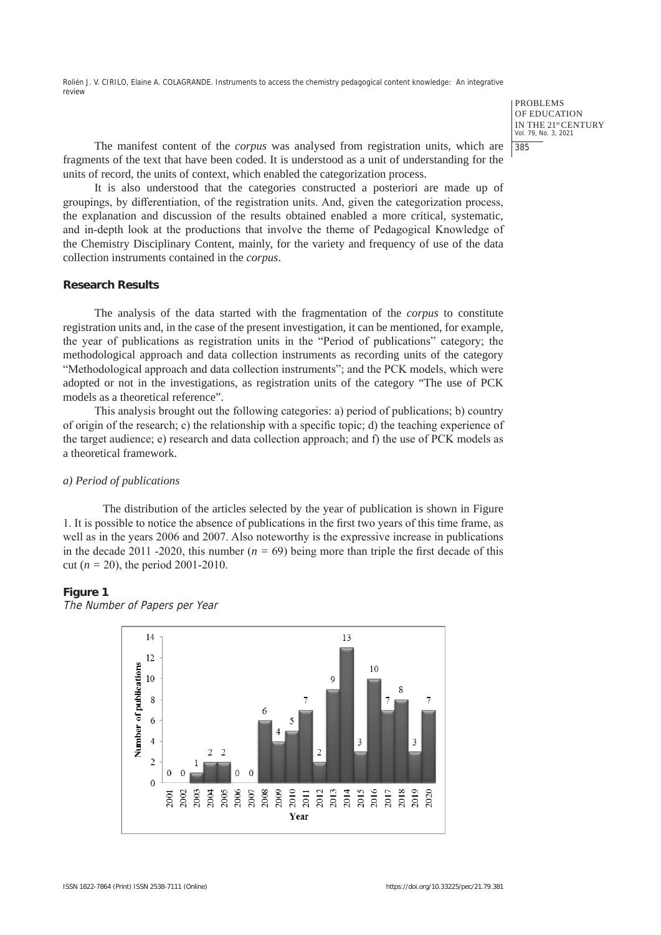> PROBLEMS OF EDUCATION IN THE 21st CENTURY Vol. 79, No. 3, 2021 385

The manifest content of the *corpus* was analysed from registration units, which are fragments of the text that have been coded. It is understood as a unit of understanding for the units of record, the units of context, which enabled the categorization process.

It is also understood that the categories constructed a posteriori are made up of groupings, by differentiation, of the registration units. And, given the categorization process, the explanation and discussion of the results obtained enabled a more critical, systematic, and in-depth look at the productions that involve the theme of Pedagogical Knowledge of the Chemistry Disciplinary Content, mainly, for the variety and frequency of use of the data collection instruments contained in the *corpus*.

## **Research Results**

The analysis of the data started with the fragmentation of the *corpus* to constitute registration units and, in the case of the present investigation, it can be mentioned, for example, the year of publications as registration units in the "Period of publications" category; the methodological approach and data collection instruments as recording units of the category "Methodological approach and data collection instruments"; and the PCK models, which were adopted or not in the investigations, as registration units of the category "The use of PCK models as a theoretical reference".

This analysis brought out the following categories: a) period of publications; b) country of origin of the research; c) the relationship with a specific topic; d) the teaching experience of the target audience; e) research and data collection approach; and f) the use of PCK models as a theoretical framework.

## *a) Period of publications*

The distribution of the articles selected by the year of publication is shown in Figure 1. It is possible to notice the absence of publications in the first two years of this time frame, as well as in the years 2006 and 2007. Also noteworthy is the expressive increase in publications in the decade 2011 -2020, this number  $(n = 69)$  being more than triple the first decade of this cut (*n =* 20), the period 2001-2010.

## **Figure 1**

The Number of Papers per Year

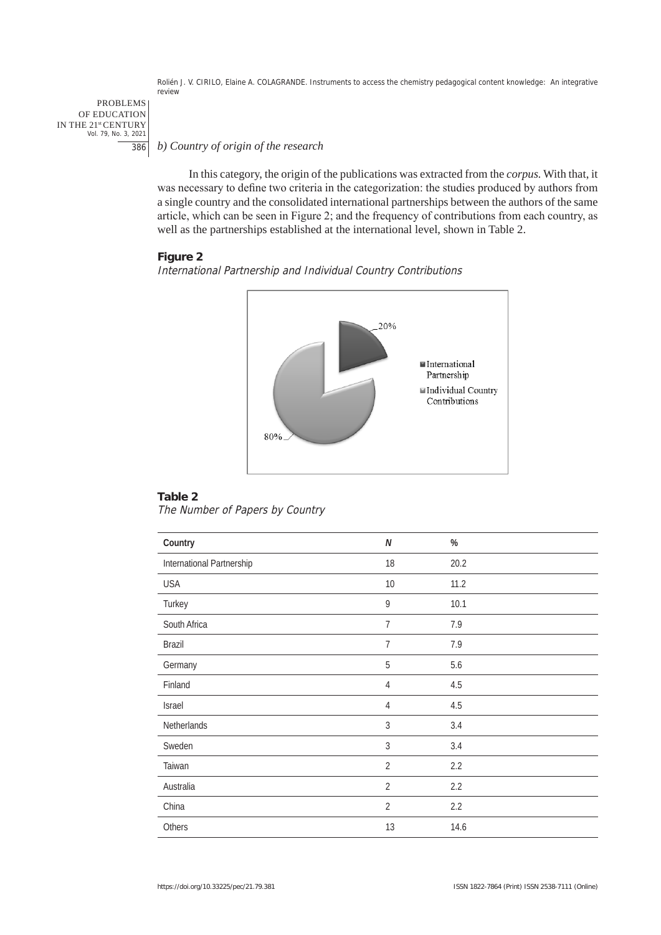PROBLEMS OF EDUCATION IN THE 21st CENTURY Vol. 79, No. 3, 2021 386

*b) Country of origin of the research*

In this category, the origin of the publications was extracted from the *corpus.* With that, it was necessary to define two criteria in the categorization: the studies produced by authors from a single country and the consolidated international partnerships between the authors of the same article, which can be seen in Figure 2; and the frequency of contributions from each country, as well as the partnerships established at the international level, shown in Table 2.

## **Figure 2**

International Partnership and Individual Country Contributions



## **Table 2**

The Number of Papers by Country

| Country                   | $\boldsymbol{N}$ | $\%$ |
|---------------------------|------------------|------|
| International Partnership | 18               | 20.2 |
| <b>USA</b>                | 10               | 11.2 |
| Turkey                    | $\boldsymbol{9}$ | 10.1 |
| South Africa              | $\overline{7}$   | 7.9  |
| Brazil                    | 7                | 7.9  |
| Germany                   | 5                | 5.6  |
| Finland                   | 4                | 4.5  |
| Israel                    | $\overline{4}$   | 4.5  |
| Netherlands               | 3                | 3.4  |
| Sweden                    | $\sqrt{3}$       | 3.4  |
| Taiwan                    | $\overline{2}$   | 2.2  |
| Australia                 | $\overline{2}$   | 2.2  |
| China                     | $\overline{2}$   | 2.2  |
| Others                    | 13               | 14.6 |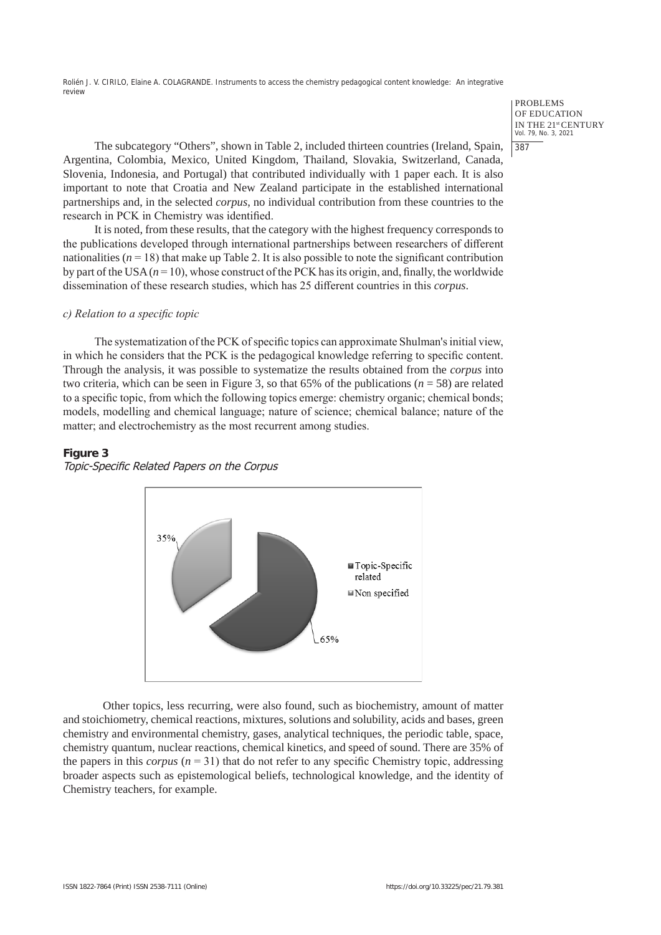> PROBLEMS OF EDUCATION IN THE 21st CENTURY Vol. 79, No. 3, 2021 387

The subcategory "Others", shown in Table 2, included thirteen countries (Ireland, Spain, Argentina, Colombia, Mexico, United Kingdom, Thailand, Slovakia, Switzerland, Canada, Slovenia, Indonesia, and Portugal) that contributed individually with 1 paper each. It is also important to note that Croatia and New Zealand participate in the established international partnerships and, in the selected *corpus*, no individual contribution from these countries to the research in PCK in Chemistry was identified.

It is noted, from these results, that the category with the highest frequency corresponds to the publications developed through international partnerships between researchers of different nationalities  $(n = 18)$  that make up Table 2. It is also possible to note the significant contribution by part of the USA  $(n = 10)$ , whose construct of the PCK has its origin, and, finally, the worldwide dissemination of these research studies, which has 25 different countries in this *corpus*.

## *c) Relation to a specific topic*

The systematization of the PCK of specific topics can approximate Shulman's initial view, in which he considers that the PCK is the pedagogical knowledge referring to specific content. Through the analysis, it was possible to systematize the results obtained from the *corpus* into two criteria, which can be seen in Figure 3, so that 65% of the publications (*n* = 58) are related to a specific topic, from which the following topics emerge: chemistry organic; chemical bonds; models, modelling and chemical language; nature of science; chemical balance; nature of the matter; and electrochemistry as the most recurrent among studies.

#### **Figure 3**





Other topics, less recurring, were also found, such as biochemistry, amount of matter and stoichiometry, chemical reactions, mixtures, solutions and solubility, acids and bases, green chemistry and environmental chemistry, gases, analytical techniques, the periodic table, space, chemistry quantum, nuclear reactions, chemical kinetics, and speed of sound. There are 35% of the papers in this *corpus*  $(n = 31)$  that do not refer to any specific Chemistry topic, addressing broader aspects such as epistemological beliefs, technological knowledge, and the identity of Chemistry teachers, for example.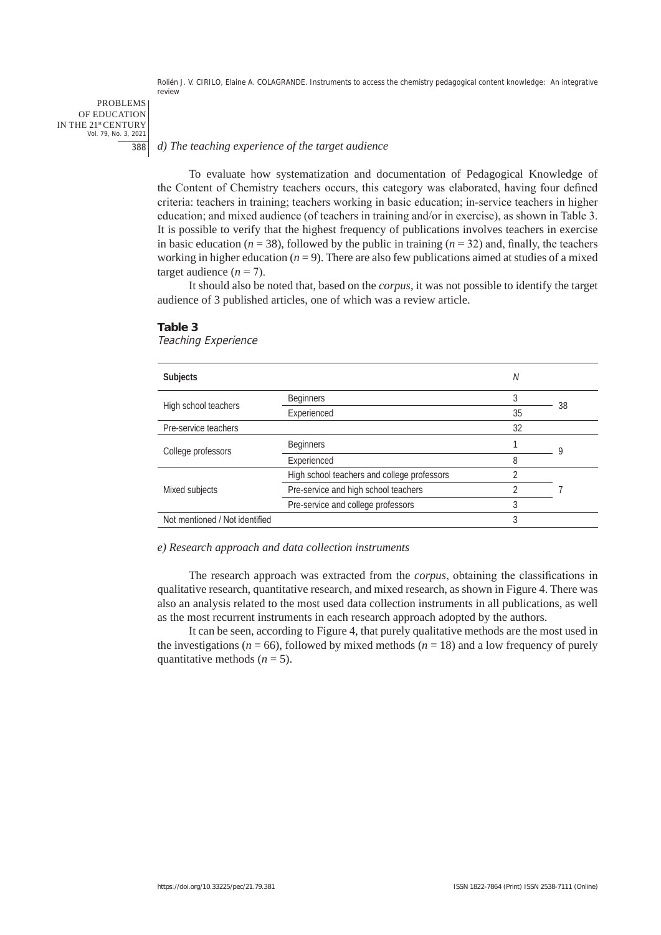PROBLEMS OF EDUCATION IN THE 21st CENTURY Vol. 79, No. 3, 2021 388

#### *d) The teaching experience of the target audience*

To evaluate how systematization and documentation of Pedagogical Knowledge of the Content of Chemistry teachers occurs, this category was elaborated, having four defined criteria: teachers in training; teachers working in basic education; in-service teachers in higher education; and mixed audience (of teachers in training and/or in exercise), as shown in Table 3. It is possible to verify that the highest frequency of publications involves teachers in exercise in basic education ( $n = 38$ ), followed by the public in training ( $n = 32$ ) and, finally, the teachers working in higher education  $(n = 9)$ . There are also few publications aimed at studies of a mixed target audience  $(n = 7)$ .

It should also be noted that, based on the *corpus*, it was not possible to identify the target audience of 3 published articles, one of which was a review article.

| <b>Subjects</b>                |                                             | N              |    |
|--------------------------------|---------------------------------------------|----------------|----|
| High school teachers           | <b>Beginners</b>                            | 3              | 38 |
|                                | Experienced                                 | 35             |    |
| Pre-service teachers           |                                             | 32             |    |
| College professors             | <b>Beginners</b>                            |                | Q  |
|                                | Experienced                                 | 8              |    |
| Mixed subjects                 | High school teachers and college professors | っ              |    |
|                                | Pre-service and high school teachers        | $\mathfrak{D}$ |    |
|                                | Pre-service and college professors          | 3              |    |
| Not mentioned / Not identified |                                             | 3              |    |
|                                |                                             |                |    |

## **Table 3**

Teaching Experience

#### *e) Research approach and data collection instruments*

The research approach was extracted from the *corpus*, obtaining the classifications in qualitative research, quantitative research, and mixed research, as shown in Figure 4. There was also an analysis related to the most used data collection instruments in all publications, as well as the most recurrent instruments in each research approach adopted by the authors.

It can be seen, according to Figure 4, that purely qualitative methods are the most used in the investigations ( $n = 66$ ), followed by mixed methods ( $n = 18$ ) and a low frequency of purely quantitative methods  $(n = 5)$ .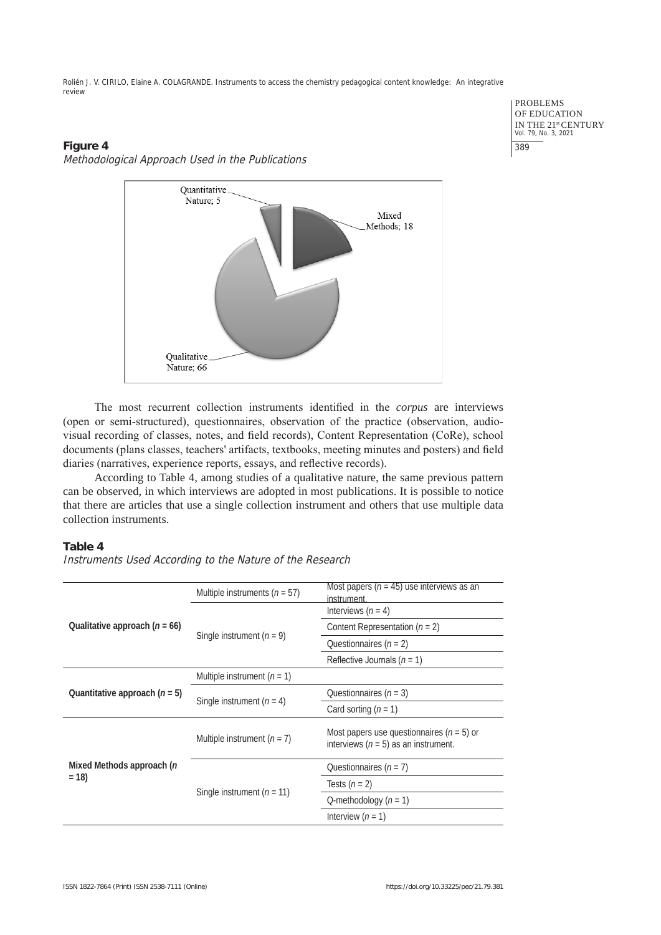# **Figure 4** Methodological Approach Used in the Publications



PROBLEMS OF EDUCATION IN THE 21<sup>st</sup> CENTURY<br>Vol. 79, No. 3, 2021 389

The most recurrent collection instruments identified in the *corpus* are interviews (open or semi-structured), questionnaires, observation of the practice (observation, audiovisual recording of classes, notes, and field records), Content Representation (CoRe), school documents (plans classes, teachers' artifacts, textbooks, meeting minutes and posters) and field diaries (narratives, experience reports, essays, and reflective records).

According to Table 4, among studies of a qualitative nature, the same previous pattern can be observed, in which interviews are adopted in most publications. It is possible to notice that there are articles that use a single collection instrument and others that use multiple data collection instruments.

# **Table 4**

Instruments Used According to the Nature of the Research

| Qualitative approach $(n = 66)$     | Multiple instruments ( $n = 57$ ) | Most papers ( $n = 45$ ) use interviews as an<br>instrument.                            |
|-------------------------------------|-----------------------------------|-----------------------------------------------------------------------------------------|
|                                     | Single instrument $(n = 9)$       | Interviews $(n = 4)$                                                                    |
|                                     |                                   | Content Representation $(n = 2)$                                                        |
|                                     |                                   | Questionnaires $(n = 2)$                                                                |
|                                     |                                   | Reflective Journals ( $n = 1$ )                                                         |
| Quantitative approach $(n = 5)$     | Multiple instrument $(n = 1)$     |                                                                                         |
|                                     | Single instrument $(n = 4)$       | Questionnaires $(n = 3)$                                                                |
|                                     |                                   | Card sorting $(n = 1)$                                                                  |
| Mixed Methods approach (n<br>$= 18$ | Multiple instrument $(n = 7)$     | Most papers use questionnaires $(n = 5)$ or<br>interviews ( $n = 5$ ) as an instrument. |
|                                     | Single instrument $(n = 11)$      | Questionnaires $(n = 7)$                                                                |
|                                     |                                   | Tests $(n = 2)$                                                                         |
|                                     |                                   | Q-methodology $(n = 1)$                                                                 |
|                                     |                                   | Interview $(n = 1)$                                                                     |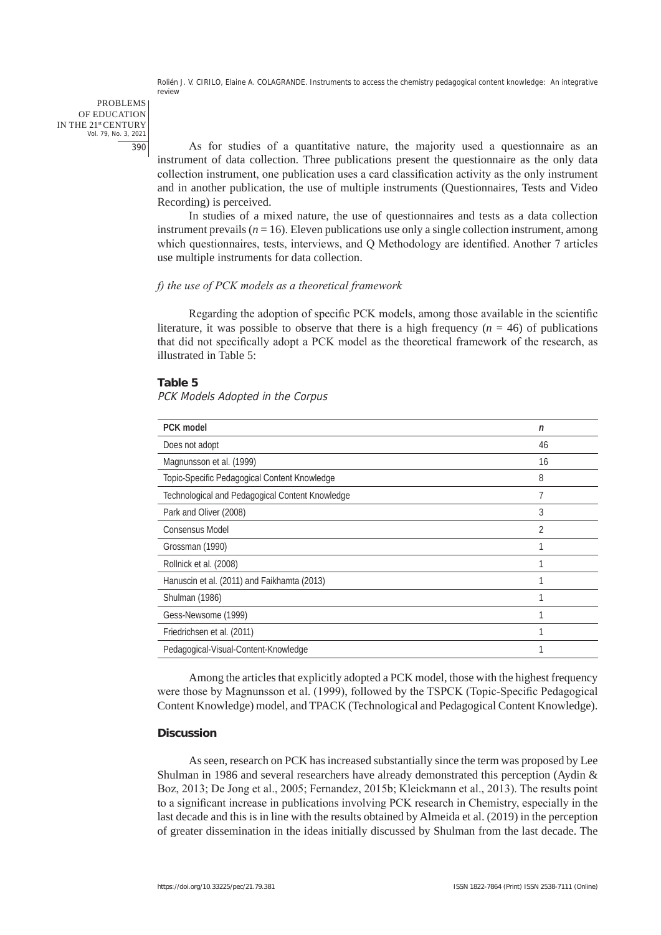PROBLEMS OF EDUCATION IN THE 21st CENTURY Vol. 79, No. 3, 2021 390

As for studies of a quantitative nature, the majority used a questionnaire as an instrument of data collection. Three publications present the questionnaire as the only data collection instrument, one publication uses a card classification activity as the only instrument and in another publication, the use of multiple instruments (Questionnaires, Tests and Video Recording) is perceived.

In studies of a mixed nature, the use of questionnaires and tests as a data collection instrument prevails  $(n = 16)$ . Eleven publications use only a single collection instrument, among which questionnaires, tests, interviews, and Q Methodology are identified. Another 7 articles use multiple instruments for data collection.

## *f) the use of PCK models as a theoretical framework*

Regarding the adoption of specific PCK models, among those available in the scientific literature, it was possible to observe that there is a high frequency  $(n = 46)$  of publications that did not specifically adopt a PCK model as the theoretical framework of the research, as illustrated in Table 5:

#### **Table 5**

PCK Models Adopted in the Corpus

| <b>PCK</b> model                                | n  |
|-------------------------------------------------|----|
| Does not adopt                                  | 46 |
| Magnunsson et al. (1999)                        | 16 |
| Topic-Specific Pedagogical Content Knowledge    | 8  |
| Technological and Pedagogical Content Knowledge | 7  |
| Park and Oliver (2008)                          | 3  |
| Consensus Model                                 | 2  |
| Grossman (1990)                                 |    |
| Rollnick et al. (2008)                          |    |
| Hanuscin et al. (2011) and Faikhamta (2013)     |    |
| <b>Shulman (1986)</b>                           |    |
| Gess-Newsome (1999)                             |    |
| Friedrichsen et al. (2011)                      |    |
| Pedagogical-Visual-Content-Knowledge            |    |

Among the articles that explicitly adopted a PCK model, those with the highest frequency were those by Magnunsson et al. (1999), followed by the TSPCK (Topic-Specific Pedagogical Content Knowledge) model, and TPACK (Technological and Pedagogical Content Knowledge).

### **Discussion**

As seen, research on PCK has increased substantially since the term was proposed by Lee Shulman in 1986 and several researchers have already demonstrated this perception (Aydin & Boz, 2013; De Jong et al., 2005; Fernandez, 2015b; Kleickmann et al., 2013). The results point to a significant increase in publications involving PCK research in Chemistry, especially in the last decade and this is in line with the results obtained by Almeida et al. (2019) in the perception of greater dissemination in the ideas initially discussed by Shulman from the last decade. The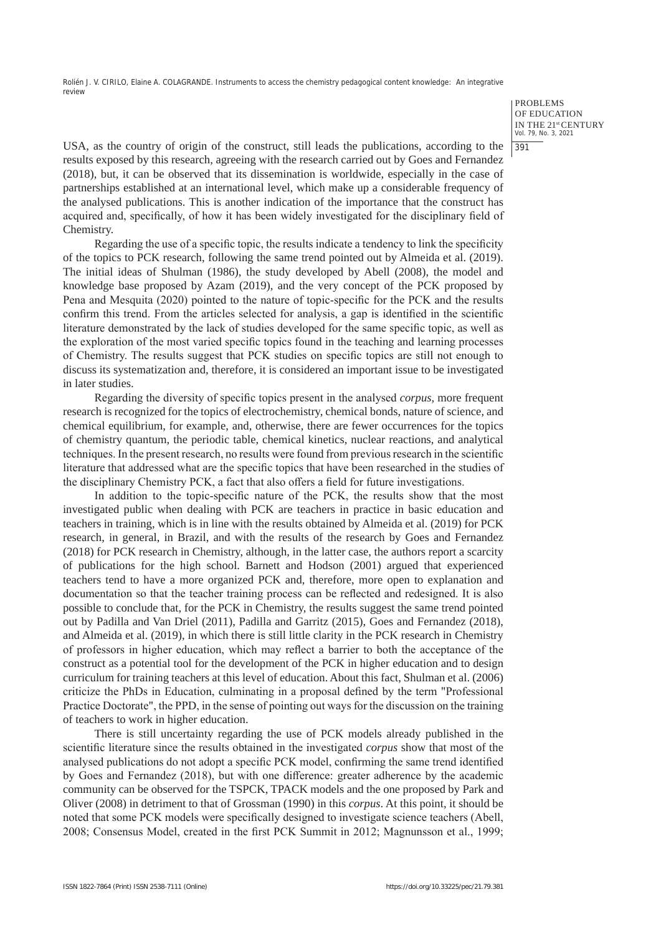> PROBLEMS OF EDUCATION IN THE 21st CENTURY Vol. 79, No. 3, 2021 391

USA, as the country of origin of the construct, still leads the publications, according to the results exposed by this research, agreeing with the research carried out by Goes and Fernandez (2018), but, it can be observed that its dissemination is worldwide, especially in the case of partnerships established at an international level, which make up a considerable frequency of the analysed publications. This is another indication of the importance that the construct has acquired and, specifically, of how it has been widely investigated for the disciplinary field of Chemistry.

Regarding the use of a specific topic, the results indicate a tendency to link the specificity of the topics to PCK research, following the same trend pointed out by Almeida et al. (2019). The initial ideas of Shulman (1986), the study developed by Abell (2008), the model and knowledge base proposed by Azam (2019), and the very concept of the PCK proposed by Pena and Mesquita (2020) pointed to the nature of topic-specific for the PCK and the results confirm this trend. From the articles selected for analysis, a gap is identified in the scientific literature demonstrated by the lack of studies developed for the same specific topic, as well as the exploration of the most varied specific topics found in the teaching and learning processes of Chemistry. The results suggest that PCK studies on specific topics are still not enough to discuss its systematization and, therefore, it is considered an important issue to be investigated in later studies.

Regarding the diversity of specific topics present in the analysed *corpus,* more frequent research is recognized for the topics of electrochemistry, chemical bonds, nature of science, and chemical equilibrium, for example, and, otherwise, there are fewer occurrences for the topics of chemistry quantum, the periodic table, chemical kinetics, nuclear reactions, and analytical techniques. In the present research, no results were found from previous research in the scientific literature that addressed what are the specific topics that have been researched in the studies of the disciplinary Chemistry PCK, a fact that also offers a field for future investigations.

In addition to the topic-specific nature of the PCK, the results show that the most investigated public when dealing with PCK are teachers in practice in basic education and teachers in training, which is in line with the results obtained by Almeida et al. (2019) for PCK research, in general, in Brazil, and with the results of the research by Goes and Fernandez (2018) for PCK research in Chemistry, although, in the latter case, the authors report a scarcity of publications for the high school. Barnett and Hodson (2001) argued that experienced teachers tend to have a more organized PCK and, therefore, more open to explanation and documentation so that the teacher training process can be reflected and redesigned. It is also possible to conclude that, for the PCK in Chemistry, the results suggest the same trend pointed out by Padilla and Van Driel (2011), Padilla and Garritz (2015), Goes and Fernandez (2018), and Almeida et al. (2019), in which there is still little clarity in the PCK research in Chemistry of professors in higher education, which may reflect a barrier to both the acceptance of the construct as a potential tool for the development of the PCK in higher education and to design curriculum for training teachers at this level of education. About this fact, Shulman et al. (2006) criticize the PhDs in Education, culminating in a proposal defined by the term "Professional Practice Doctorate", the PPD, in the sense of pointing out ways for the discussion on the training of teachers to work in higher education.

There is still uncertainty regarding the use of PCK models already published in the scientific literature since the results obtained in the investigated *corpus* show that most of the analysed publications do not adopt a specific PCK model, confirming the same trend identified by Goes and Fernandez (2018), but with one difference: greater adherence by the academic community can be observed for the TSPCK, TPACK models and the one proposed by Park and Oliver (2008) in detriment to that of Grossman (1990) in this *corpus*. At this point, it should be noted that some PCK models were specifically designed to investigate science teachers (Abell, 2008; Consensus Model, created in the first PCK Summit in 2012; Magnunsson et al., 1999;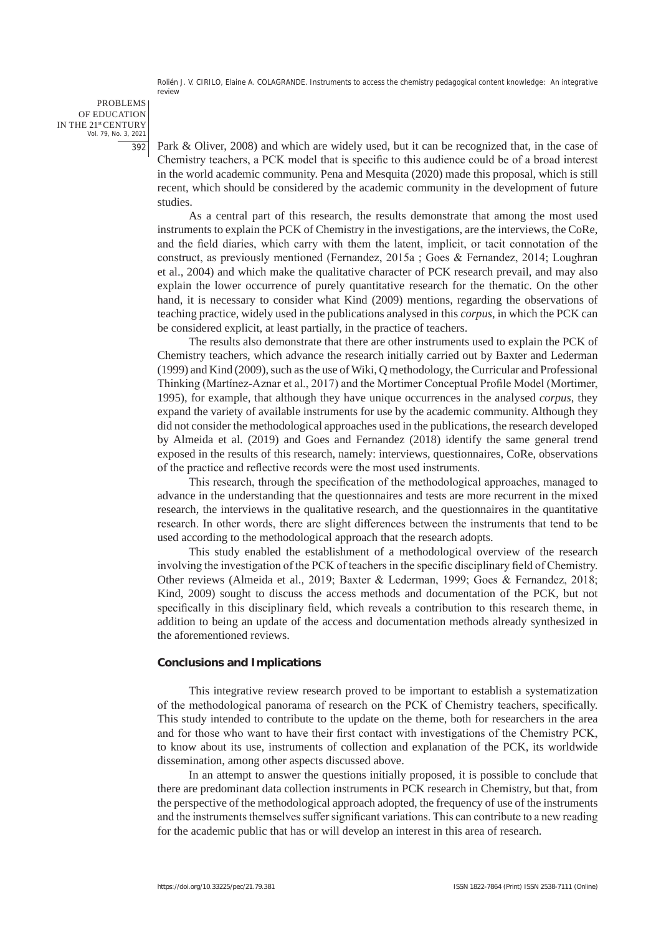PROBLEMS OF EDUCATION IN THE 21st CENTURY Vol. 79, No. 3, 2021 392

Park & Oliver, 2008) and which are widely used, but it can be recognized that, in the case of Chemistry teachers, a PCK model that is specific to this audience could be of a broad interest in the world academic community. Pena and Mesquita (2020) made this proposal, which is still recent, which should be considered by the academic community in the development of future studies.

As a central part of this research, the results demonstrate that among the most used instruments to explain the PCK of Chemistry in the investigations, are the interviews, the CoRe, and the field diaries, which carry with them the latent, implicit, or tacit connotation of the construct, as previously mentioned (Fernandez, 2015a ; Goes & Fernandez, 2014; Loughran et al., 2004) and which make the qualitative character of PCK research prevail, and may also explain the lower occurrence of purely quantitative research for the thematic. On the other hand, it is necessary to consider what Kind (2009) mentions, regarding the observations of teaching practice, widely used in the publications analysed in this *corpus*, in which the PCK can be considered explicit, at least partially, in the practice of teachers.

The results also demonstrate that there are other instruments used to explain the PCK of Chemistry teachers, which advance the research initially carried out by Baxter and Lederman (1999) and Kind (2009), such as the use of Wiki, Q methodology, the Curricular and Professional Thinking (Martínez-Aznar et al., 2017) and the Mortimer Conceptual Profile Model (Mortimer, 1995), for example, that although they have unique occurrences in the analysed *corpus*, they expand the variety of available instruments for use by the academic community. Although they did not consider the methodological approaches used in the publications, the research developed by Almeida et al. (2019) and Goes and Fernandez (2018) identify the same general trend exposed in the results of this research, namely: interviews, questionnaires, CoRe, observations of the practice and reflective records were the most used instruments.

This research, through the specification of the methodological approaches, managed to advance in the understanding that the questionnaires and tests are more recurrent in the mixed research, the interviews in the qualitative research, and the questionnaires in the quantitative research. In other words, there are slight differences between the instruments that tend to be used according to the methodological approach that the research adopts.

This study enabled the establishment of a methodological overview of the research involving the investigation of the PCK of teachers in the specific disciplinary field of Chemistry. Other reviews (Almeida et al.*,* 2019; Baxter & Lederman, 1999; Goes & Fernandez, 2018; Kind, 2009) sought to discuss the access methods and documentation of the PCK, but not specifically in this disciplinary field, which reveals a contribution to this research theme, in addition to being an update of the access and documentation methods already synthesized in the aforementioned reviews.

#### **Conclusions and Implications**

This integrative review research proved to be important to establish a systematization of the methodological panorama of research on the PCK of Chemistry teachers, specifically. This study intended to contribute to the update on the theme, both for researchers in the area and for those who want to have their first contact with investigations of the Chemistry PCK, to know about its use, instruments of collection and explanation of the PCK, its worldwide dissemination, among other aspects discussed above.

In an attempt to answer the questions initially proposed, it is possible to conclude that there are predominant data collection instruments in PCK research in Chemistry, but that, from the perspective of the methodological approach adopted, the frequency of use of the instruments and the instruments themselves suffer significant variations. This can contribute to a new reading for the academic public that has or will develop an interest in this area of research.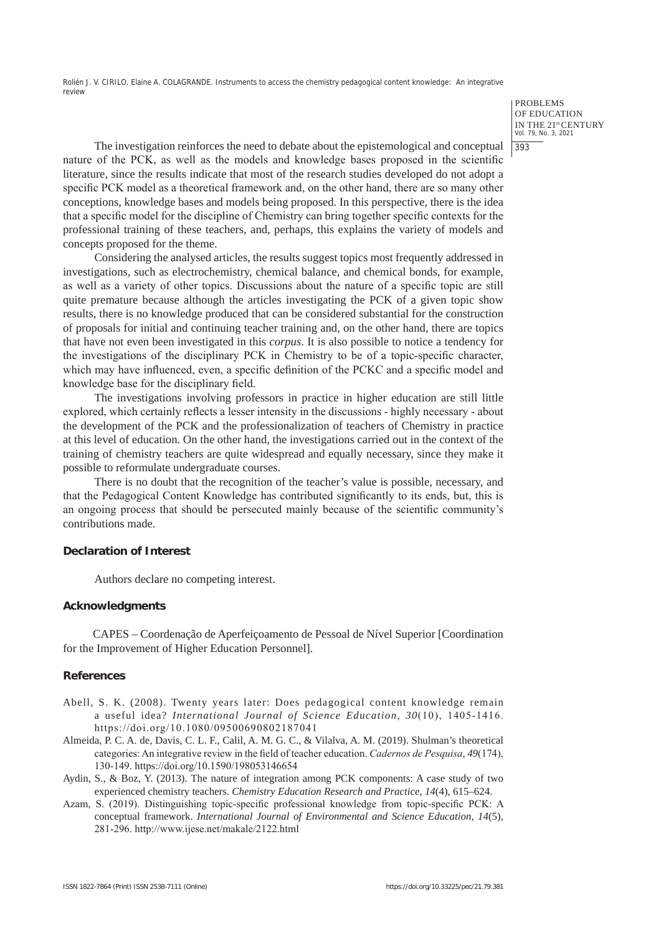> PROBLEMS OF EDUCATION IN THE 21st CENTURY Vol. 79, No. 3, 2021 393

The investigation reinforces the need to debate about the epistemological and conceptual nature of the PCK, as well as the models and knowledge bases proposed in the scientific literature, since the results indicate that most of the research studies developed do not adopt a specific PCK model as a theoretical framework and, on the other hand, there are so many other conceptions, knowledge bases and models being proposed. In this perspective, there is the idea that a specific model for the discipline of Chemistry can bring together specific contexts for the professional training of these teachers, and, perhaps, this explains the variety of models and concepts proposed for the theme.

Considering the analysed articles, the results suggest topics most frequently addressed in investigations, such as electrochemistry, chemical balance, and chemical bonds, for example, as well as a variety of other topics. Discussions about the nature of a specific topic are still quite premature because although the articles investigating the PCK of a given topic show results, there is no knowledge produced that can be considered substantial for the construction of proposals for initial and continuing teacher training and, on the other hand, there are topics that have not even been investigated in this *corpus*. It is also possible to notice a tendency for the investigations of the disciplinary PCK in Chemistry to be of a topic-specific character, which may have influenced, even, a specific definition of the PCKC and a specific model and knowledge base for the disciplinary field.

The investigations involving professors in practice in higher education are still little explored, which certainly reflects a lesser intensity in the discussions - highly necessary - about the development of the PCK and the professionalization of teachers of Chemistry in practice at this level of education. On the other hand, the investigations carried out in the context of the training of chemistry teachers are quite widespread and equally necessary, since they make it possible to reformulate undergraduate courses.

There is no doubt that the recognition of the teacher's value is possible, necessary, and that the Pedagogical Content Knowledge has contributed significantly to its ends, but, this is an ongoing process that should be persecuted mainly because of the scientific community's contributions made.

#### **Declaration of Interest**

Authors declare no competing interest.

#### **Acknowledgments**

CAPES – Coordenação de Aperfeiçoamento de Pessoal de Nível Superior [Coordination for the Improvement of Higher Education Personnel].

### **References**

- Abell, S. K. (2008). Twenty years later: Does pedagogical content knowledge remain a useful idea? *International Journal of Science Education, 30*(10), 1405-1416. https://doi.org/10.1080/09500690802187041
- Almeida, P. C. A. de, Davis, C. L. F., Calil, A. M. G. C., & Vilalva, A. M. (2019). Shulman's theoretical categories: An integrative review in the field of teacher education. *Cadernos de Pesquisa*, *49*(174), 130-149. https://doi.org/10.1590/198053146654
- Aydin, S., & Boz, Y. (2013). The nature of integration among PCK components: A case study of two experienced chemistry teachers. *Chemistry Education Research and Practice, 14*(4), 615–624.
- Azam, S. (2019). Distinguishing topic-specific professional knowledge from topic-specific PCK: A conceptual framework. *International Journal of Environmental and Science Education, 14*(5), 281-296. http://www.ijese.net/makale/2122.html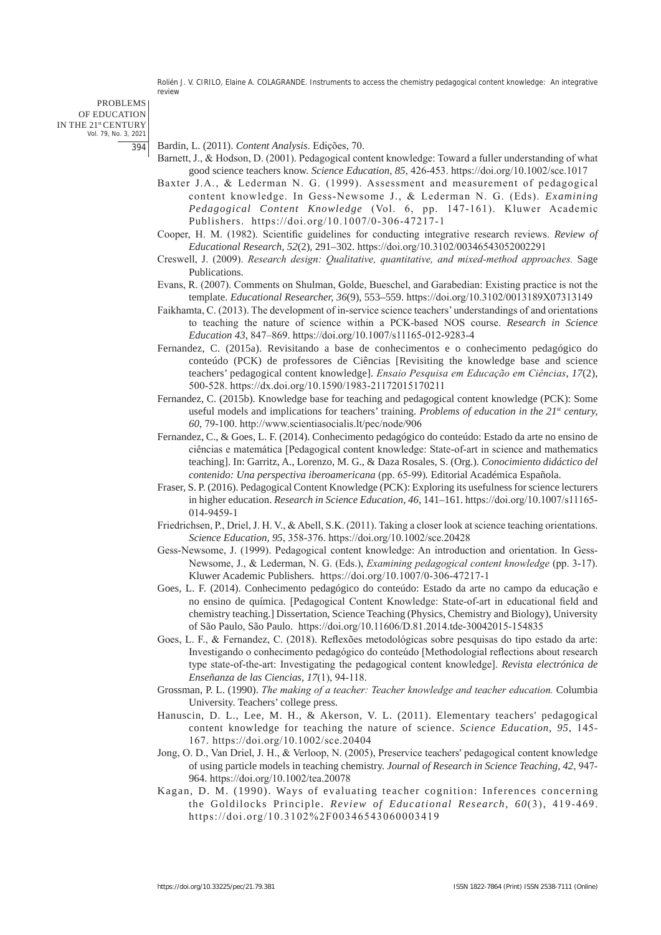PROBLEMS OF EDUCATION IN THE 21st CENTURY Vol. 79, No. 3, 2021 394

- Bardin, L. (2011). *Content Analysis*. Edições, 70.
- Barnett, J., & Hodson, D. (2001). Pedagogical content knowledge: Toward a fuller understanding of what good science teachers know. *Science Education, 85*, 426-453. https://doi.org/10.1002/sce.1017
- Baxter J.A., & Lederman N. G. (1999). Assessment and measurement of pedagogical content knowledge. In Gess-Newsome J., & Lederman N. G. (Eds). *Examining Pedagogical Content Knowledge* (Vol. 6, pp. 147-161). Kluwer Academic Publishers. https://doi.org/10.1007/0-306-47217-1
- Cooper, H. M. (1982). Scientific guidelines for conducting integrative research reviews. *Review of Educational Research, 52*(2), 291–302. https://doi.org/10.3102/00346543052002291
- Creswell, J. (2009). *Research design: Qualitative, quantitative, and mixed-method approaches.* Sage Publications.
- Evans, R. (2007). Comments on Shulman, Golde, Bueschel, and Garabedian: Existing practice is not the template. *Educational Researcher, 36*(9), 553–559. https://doi.org/10.3102/0013189X07313149
- Faikhamta, C. (2013). The development of in-service science teachers' understandings of and orientations to teaching the nature of science within a PCK-based NOS course. *Research in Science Education 43*, 847–869. https://doi.org/10.1007/s11165-012-9283-4
- Fernandez, C. (2015a). Revisitando a base de conhecimentos e o conhecimento pedagógico do conteúdo (PCK) de professores de Ciências [Revisiting the knowledge base and science teachers' pedagogical content knowledge]. *Ensaio Pesquisa em Educação em Ciências*, *17*(2), 500-528. https://dx.doi.org/10.1590/1983-21172015170211
- Fernandez, C. (2015b). Knowledge base for teaching and pedagogical content knowledge (PCK): Some useful models and implications for teachers' training. *Problems of education in the 21<sup>st</sup> century*, *60*, 79-100. http://www.scientiasocialis.lt/pec/node/906
- Fernandez, C., & Goes, L. F. (2014). Conhecimento pedagógico do conteúdo: Estado da arte no ensino de ciências e matemática [Pedagogical content knowledge: State-of-art in science and mathematics teaching]. In: Garritz, A., Lorenzo, M. G., & Daza Rosales, S. (Org.). *Conocimiento didáctico del contenido: Una perspectiva iberoamericana* (pp. 65-99)*.* Editorial Académica Española.
- Fraser, S. P. (2016). Pedagogical Content Knowledge (PCK): Exploring its usefulness for science lecturers in higher education. *Research in Science Education*, *46,* 141–161. https://doi.org/10.1007/s11165- 014-9459-1
- Friedrichsen, P., Driel, J. H. V., & Abell, S.K. (2011). Taking a closer look at science teaching orientations. *Science Education, 95*, 358-376. https://doi.org/10.1002/sce.20428
- Gess-Newsome, J. (1999). Pedagogical content knowledge: An introduction and orientation. In Gess-Newsome, J., & Lederman, N. G. (Eds.), *Examining pedagogical content knowledge* (pp. 3-17). Kluwer Academic Publishers. https://doi.org/10.1007/0-306-47217-1
- Goes, L. F. (2014). Conhecimento pedagógico do conteúdo: Estado da arte no campo da educação e no ensino de química. [Pedagogical Content Knowledge: State-of-art in educational field and chemistry teaching.] Dissertation, Science Teaching (Physics, Chemistry and Biology), University of São Paulo, São Paulo. https://doi.org/10.11606/D.81.2014.tde-30042015-154835
- Goes, L. F., & Fernandez, C. (2018). Reflexões metodológicas sobre pesquisas do tipo estado da arte: Investigando o conhecimento pedagógico do conteúdo [Methodologial reflections about research type state-of-the-art: Investigating the pedagogical content knowledge]. *Revista electrónica de Enseñanza de las Ciencias, 17*(1), 94-118.
- Grossman, P. L. (1990). *The making of a teacher: Teacher knowledge and teacher education.* Columbia University. Teachers' college press.
- Hanuscin, D. L., Lee, M. H., & Akerson, V. L. (2011). Elementary teachers' pedagogical content knowledge for teaching the nature of science. *Science Education, 95*, 145- 167. https://doi.org/10.1002/sce.20404
- Jong, O. D., Van Driel, J. H., & Verloop, N. (2005), Preservice teachers' pedagogical content knowledge of using particle models in teaching chemistry. *Journal of Research in Science Teaching, 42*, 947- 964. https://doi.org/10.1002/tea.20078
- Kagan, D. M. (1990). Ways of evaluating teacher cognition: Inferences concerning the Goldilocks Principle. *Review of Educational Research, 60*(3), 419-469. https://doi.org/10.3102%2F00346543060003419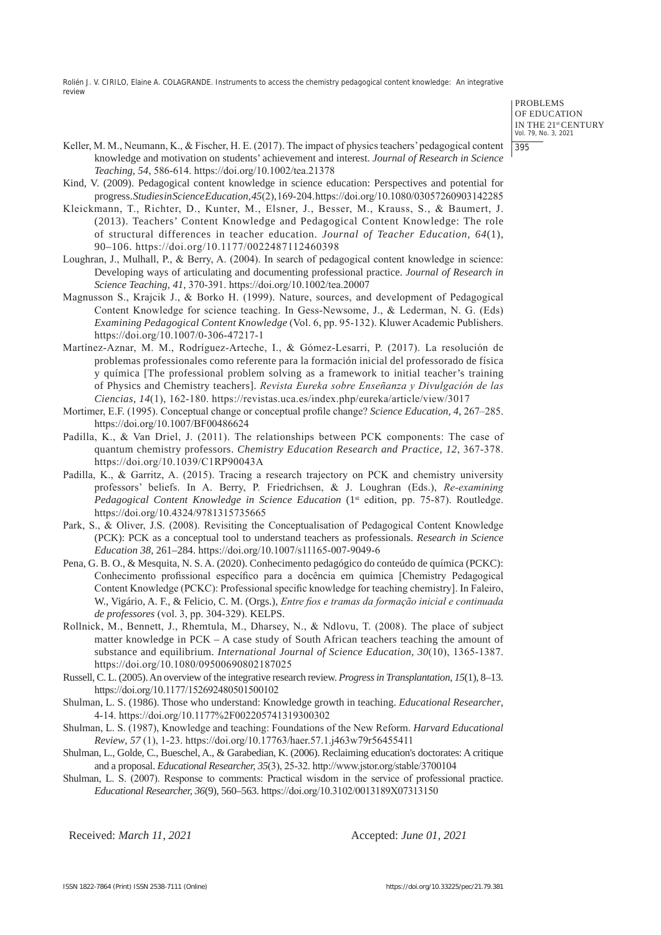> PROBLEMS OF EDUCATION IN THE 21st CENTURY Vol. 79, No. 3, 2021 395

- Keller, M. M., Neumann, K., & Fischer, H. E. (2017). The impact of physics teachers' pedagogical content knowledge and motivation on students' achievement and interest. *Journal of Research in Science Teaching, 54*, 586-614. https://doi.org/10.1002/tea.21378
- Kind, V. (2009). Pedagogical content knowledge in science education: Perspectives and potential for progress.*Studies in Science Education,45*(2),169-204.https://doi.org/10.1080/03057260903142285
- Kleickmann, T., Richter, D., Kunter, M., Elsner, J., Besser, M., Krauss, S., & Baumert, J. (2013). Teachers' Content Knowledge and Pedagogical Content Knowledge: The role of structural differences in teacher education. *Journal of Teacher Education, 64*(1), 90–106. https://doi.org/10.1177/0022487112460398
- Loughran, J., Mulhall, P., & Berry, A. (2004). In search of pedagogical content knowledge in science: Developing ways of articulating and documenting professional practice. *Journal of Research in Science Teaching, 41,* 370-391. https://doi.org/10.1002/tea.20007
- Magnusson S., Krajcik J., & Borko H. (1999). Nature, sources, and development of Pedagogical Content Knowledge for science teaching. In Gess-Newsome, J., & Lederman, N. G. (Eds) *Examining Pedagogical Content Knowledge* (Vol. 6, pp. 95-132). Kluwer Academic Publishers. https://doi.org/10.1007/0-306-47217-1
- Martínez-Aznar, M. M., Rodríguez-Arteche, I., & Gómez-Lesarri, P. (2017). La resolución de problemas professionales como referente para la formación inicial del professorado de física y química [The professional problem solving as a framework to initial teacher's training of Physics and Chemistry teachers]. *Revista Eureka sobre Enseñanza y Divulgación de las Ciencias, 14*(1), 162-180. https://revistas.uca.es/index.php/eureka/article/view/3017
- Mortimer, E.F. (1995). Conceptual change or conceptual profile change? *Science Education, 4*, 267–285. https://doi.org/10.1007/BF00486624
- Padilla, K., & Van Driel, J. (2011). The relationships between PCK components: The case of quantum chemistry professors. *Chemistry Education Research and Practice, 12*, 367-378. https://doi.org/10.1039/C1RP90043A
- Padilla, K., & Garritz, A. (2015). Tracing a research trajectory on PCK and chemistry university professors' beliefs. In A. Berry, P. Friedrichsen, & J. Loughran (Eds.), *Re-examining Pedagogical Content Knowledge in Science Education* (1<sup>st</sup> edition, pp. 75-87). Routledge. https://doi.org/10.4324/9781315735665
- Park, S., & Oliver, J.S. (2008). Revisiting the Conceptualisation of Pedagogical Content Knowledge (PCK): PCK as a conceptual tool to understand teachers as professionals. *Research in Science Education 38,* 261–284. https://doi.org/10.1007/s11165-007-9049-6
- Pena, G. B. O., & Mesquita, N. S. A. (2020). Conhecimento pedagógico do conteúdo de química (PCKC): Conhecimento profissional específico para a docência em química [Chemistry Pedagogical Content Knowledge (PCKC): Professional specific knowledge for teaching chemistry]. In Faleiro, W., Vigário, A. F., & Felicio, C. M. (Orgs.), *Entre fios e tramas da formação inicial e continuada de professores* (vol. 3, pp. 304-329). KELPS.
- Rollnick, M., Bennett, J., Rhemtula, M., Dharsey, N., & Ndlovu, T. (2008). The place of subject matter knowledge in PCK – A case study of South African teachers teaching the amount of substance and equilibrium. *International Journal of Science Education, 30*(10), 1365-1387. https://doi.org/10.1080/09500690802187025
- Russell, C. L. (2005). An overview of the integrative research review. *Progress in Transplantation, 15*(1), 8–13. https://doi.org/10.1177/152692480501500102
- Shulman, L. S. (1986). Those who understand: Knowledge growth in teaching. *Educational Researcher*, 4-14. https://doi.org/10.1177%2F002205741319300302
- Shulman, L. S. (1987), Knowledge and teaching: Foundations of the New Reform. *Harvard Educational Review*, *57* (1), 1-23. https://doi.org/10.17763/haer.57.1.j463w79r56455411
- Shulman, L., Golde, C., Bueschel, A., & Garabedian, K. (2006). Reclaiming education's doctorates: A critique and a proposal. *Educational Researcher, 35*(3), 25-32. http://www.jstor.org/stable/3700104
- Shulman, L. S. (2007). Response to comments: Practical wisdom in the service of professional practice. *Educational Researcher, 36*(9), 560–563. https://doi.org/10.3102/0013189X07313150

Received: *March 11, 2021* Accepted: *June 01, 2021*